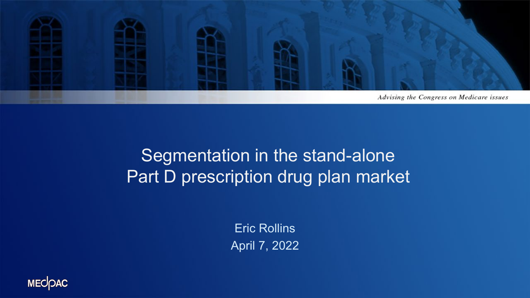

#### Segmentation in the stand-alone Part D prescription drug plan market

Eric Rollins April 7, 2022

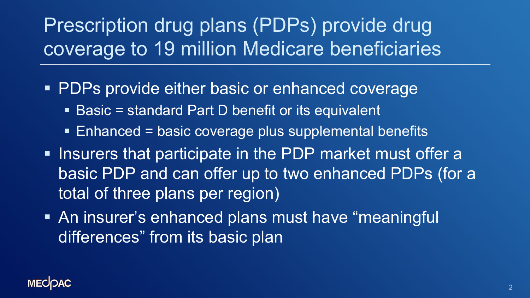# Prescription drug plans (PDPs) provide drug coverage to 19 million Medicare beneficiaries

- **PDPs provide either basic or enhanced coverage** 
	- Basic = standard Part D benefit or its equivalent
	- Enhanced = basic coverage plus supplemental benefits
- **Insurers that participate in the PDP market must offer a** basic PDP and can offer up to two enhanced PDPs (for a total of three plans per region)
- An insurer's enhanced plans must have "meaningful differences" from its basic plan

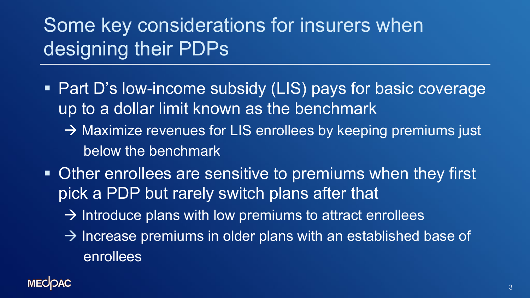# Some key considerations for insurers when designing their PDPs

- Part D's low-income subsidy (LIS) pays for basic coverage up to a dollar limit known as the benchmark
	- $\rightarrow$  Maximize revenues for LIS enrollees by keeping premiums just below the benchmark
- Other enrollees are sensitive to premiums when they first pick a PDP but rarely switch plans after that
	- $\rightarrow$  Introduce plans with low premiums to attract enrollees
	- $\rightarrow$  Increase premiums in older plans with an established base of enrollees

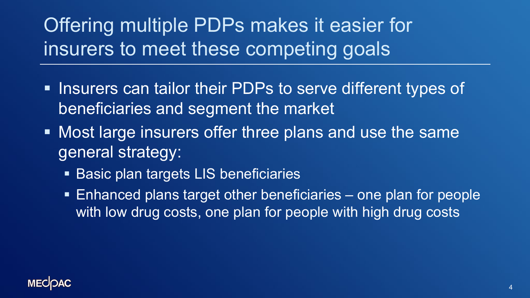Offering multiple PDPs makes it easier for insurers to meet these competing goals

- **Insurers can tailor their PDPs to serve different types of** beneficiaries and segment the market
- **Most large insurers offer three plans and use the same** general strategy:
	- **Basic plan targets LIS beneficiaries**
	- Enhanced plans target other beneficiaries one plan for people with low drug costs, one plan for people with high drug costs

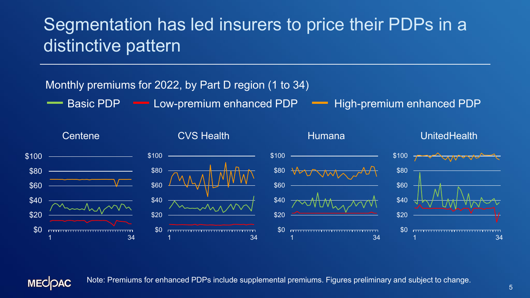#### Segmentation has led insurers to price their PDPs in a distinctive pattern

#### Monthly premiums for 2022, by Part D region (1 to 34)

Basic PDP **- Low-premium enhanced PDP** - High-premium enhanced PDP



**MECOAC** 

Note: Premiums for enhanced PDPs include supplemental premiums. Figures preliminary and subject to change.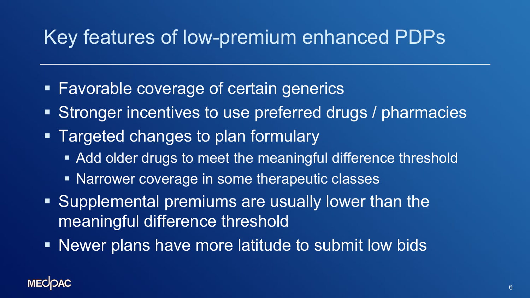## Key features of low-premium enhanced PDPs

- **Favorable coverage of certain generics**
- **Stronger incentives to use preferred drugs / pharmacies**
- **Targeted changes to plan formulary** 
	- Add older drugs to meet the meaningful difference threshold
	- **Narrower coverage in some therapeutic classes**
- Supplemental premiums are usually lower than the meaningful difference threshold
- Newer plans have more latitude to submit low bids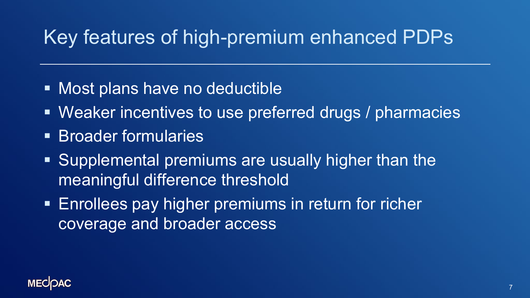## Key features of high-premium enhanced PDPs

- **Most plans have no deductible**
- Weaker incentives to use preferred drugs / pharmacies
- **Broader formularies**
- Supplemental premiums are usually higher than the meaningful difference threshold
- **Enrollees pay higher premiums in return for richer** coverage and broader access

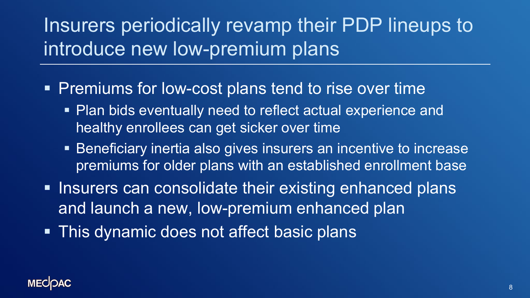Insurers periodically revamp their PDP lineups to introduce new low-premium plans

- **Premiums for low-cost plans tend to rise over time** 
	- Plan bids eventually need to reflect actual experience and healthy enrollees can get sicker over time
	- Beneficiary inertia also gives insurers an incentive to increase premiums for older plans with an established enrollment base
- **Insurers can consolidate their existing enhanced plans** and launch a new, low-premium enhanced plan
- **This dynamic does not affect basic plans**

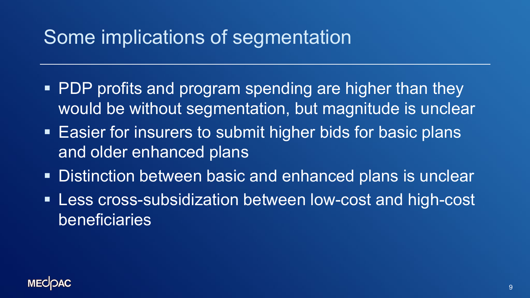## Some implications of segmentation

- PDP profits and program spending are higher than they would be without segmentation, but magnitude is unclear
- **Easier for insurers to submit higher bids for basic plans** and older enhanced plans
- Distinction between basic and enhanced plans is unclear
- Less cross-subsidization between low-cost and high-cost beneficiaries

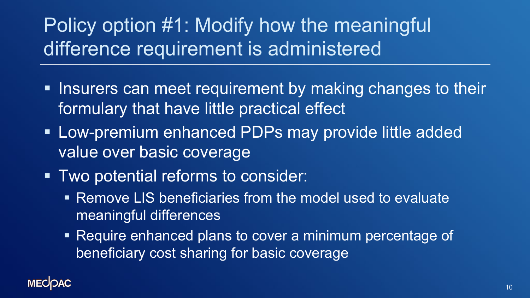Policy option #1: Modify how the meaningful difference requirement is administered

- **Insurers can meet requirement by making changes to their** formulary that have little practical effect
- **Low-premium enhanced PDPs may provide little added** value over basic coverage
- Two potential reforms to consider:
	- Remove LIS beneficiaries from the model used to evaluate meaningful differences
	- Require enhanced plans to cover a minimum percentage of beneficiary cost sharing for basic coverage

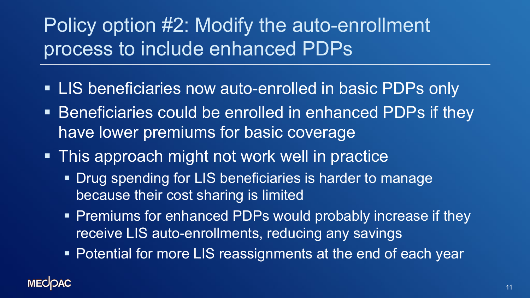# Policy option #2: Modify the auto-enrollment process to include enhanced PDPs

- **LIS beneficiaries now auto-enrolled in basic PDPs only**
- **Beneficiaries could be enrolled in enhanced PDPs if they** have lower premiums for basic coverage
- **This approach might not work well in practice** 
	- **Drug spending for LIS beneficiaries is harder to manage** because their cost sharing is limited
	- **Premiums for enhanced PDPs would probably increase if they** receive LIS auto-enrollments, reducing any savings
	- Potential for more LIS reassignments at the end of each year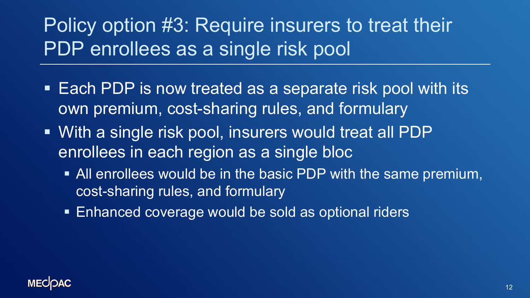Policy option #3: Require insurers to treat their PDP enrollees as a single risk pool

- Each PDP is now treated as a separate risk pool with its own premium, cost-sharing rules, and formulary
- With a single risk pool, insurers would treat all PDP enrollees in each region as a single bloc
	- All enrollees would be in the basic PDP with the same premium, cost-sharing rules, and formulary
	- **Enhanced coverage would be sold as optional riders**

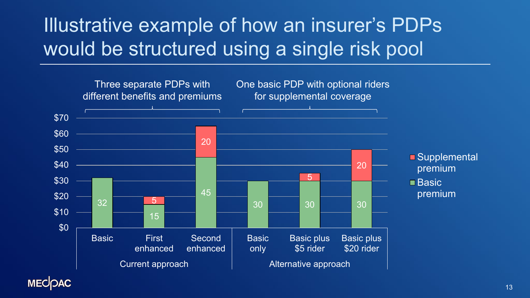# Illustrative example of how an insurer's PDPs would be structured using a single risk pool



**MECOAC**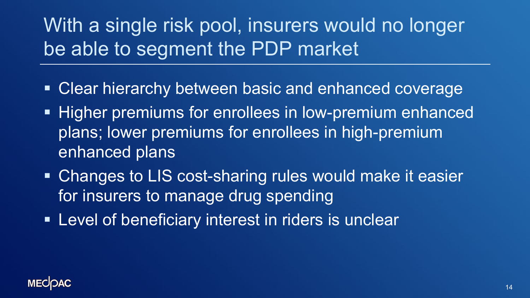# With a single risk pool, insurers would no longer be able to segment the PDP market

- **Example 2 Figure 10 Figure 10 Figure 10 Figure 10 Figure 10 Figure 10 Figure 10 Figure 10 Figure 10 Figure 10 Figure 10 Figure 10 Figure 10 Figure 10 Figure 10 Figure 10 Figure 10 Figure 10 Figure 10 Figure 10 Figure 10 F**
- **Higher premiums for enrollees in low-premium enhanced** plans; lower premiums for enrollees in high-premium enhanced plans
- Changes to LIS cost-sharing rules would make it easier for insurers to manage drug spending
- **Level of beneficiary interest in riders is unclear**